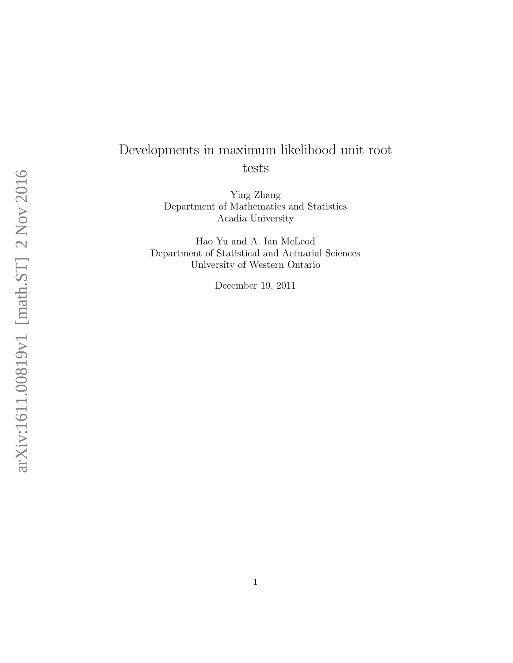# Developments in maximum likelihood unit root tests

Ying Zhang Department of Mathematics and Statistics Acadia University

Hao Yu and A. Ian McLeod Department of Statistical and Actuarial Sciences University of Western Ontario

December 19, 2011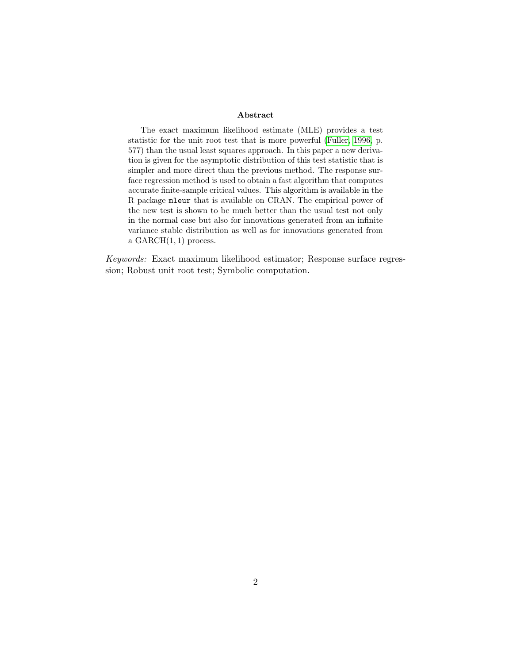#### Abstract

The exact maximum likelihood estimate (MLE) provides a test statistic for the unit root test that is more powerful [\(Fuller, 1996,](#page-21-0) p. 577) than the usual least squares approach. In this paper a new derivation is given for the asymptotic distribution of this test statistic that is simpler and more direct than the previous method. The response surface regression method is used to obtain a fast algorithm that computes accurate finite-sample critical values. This algorithm is available in the R package mleur that is available on CRAN. The empirical power of the new test is shown to be much better than the usual test not only in the normal case but also for innovations generated from an infinite variance stable distribution as well as for innovations generated from a  $GARCH(1, 1)$  process.

Keywords: Exact maximum likelihood estimator; Response surface regression; Robust unit root test; Symbolic computation.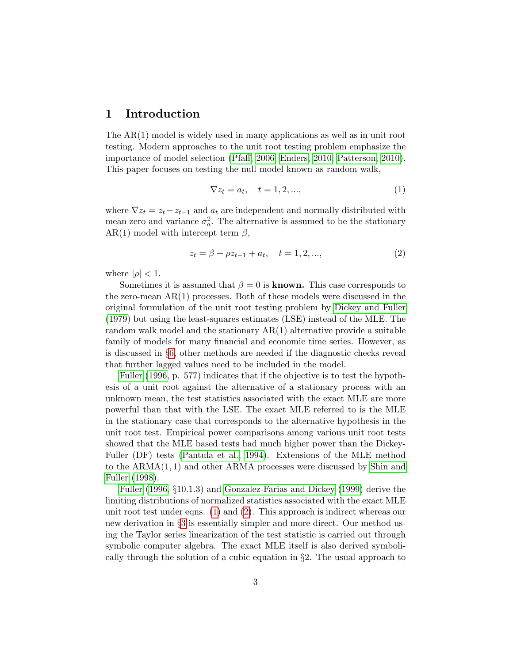### 1 Introduction

The  $AR(1)$  model is widely used in many applications as well as in unit root testing. Modern approaches to the unit root testing problem emphasize the importance of model selection [\(Pfaff, 2006;](#page-22-0) [Enders, 2010;](#page-21-1) [Patterson, 2010\)](#page-22-1). This paper focuses on testing the null model known as random walk,

<span id="page-2-0"></span>
$$
\nabla z_t = a_t, \quad t = 1, 2, \dots,
$$
\n
$$
(1)
$$

where  $\nabla z_t = z_t - z_{t-1}$  and  $a_t$  are independent and normally distributed with mean zero and variance  $\sigma_a^2$ . The alternative is assumed to be the stationary AR(1) model with intercept term  $\beta$ ,

<span id="page-2-1"></span>
$$
z_t = \beta + \rho z_{t-1} + a_t, \quad t = 1, 2, ..., \tag{2}
$$

where  $|\rho| < 1$ .

Sometimes it is assumed that  $\beta = 0$  is **known.** This case corresponds to the zero-mean AR(1) processes. Both of these models were discussed in the original formulation of the unit root testing problem by [Dickey and Fuller](#page-21-2) [\(1979\)](#page-21-2) but using the least-squares estimates (LSE) instead of the MLE. The random walk model and the stationary  $AR(1)$  alternative provide a suitable family of models for many financial and economic time series. However, as is discussed in §[6,](#page-12-0) other methods are needed if the diagnostic checks reveal that further lagged values need to be included in the model.

[Fuller](#page-21-0) [\(1996,](#page-21-0) p. 577) indicates that if the objective is to test the hypothesis of a unit root against the alternative of a stationary process with an unknown mean, the test statistics associated with the exact MLE are more powerful than that with the LSE. The exact MLE referred to is the MLE in the stationary case that corresponds to the alternative hypothesis in the unit root test. Empirical power comparisons among various unit root tests showed that the MLE based tests had much higher power than the Dickey-Fuller (DF) tests [\(Pantula et al., 1994\)](#page-22-2). Extensions of the MLE method to the ARMA(1, 1) and other ARMA processes were discussed by [Shin and](#page-22-3) [Fuller](#page-22-3) [\(1998\)](#page-22-3).

[Fuller](#page-21-0) [\(1996,](#page-21-0) §10.1.3) and [Gonzalez-Farias and Dickey](#page-21-3) [\(1999\)](#page-21-3) derive the limiting distributions of normalized statistics associated with the exact MLE unit root test under eqns. [\(1\)](#page-2-0) and [\(2\)](#page-2-1). This approach is indirect whereas our new derivation in §[3](#page-5-0) is essentially simpler and more direct. Our method using the Taylor series linearization of the test statistic is carried out through symbolic computer algebra. The exact MLE itself is also derived symbolically through the solution of a cubic equation in §2. The usual approach to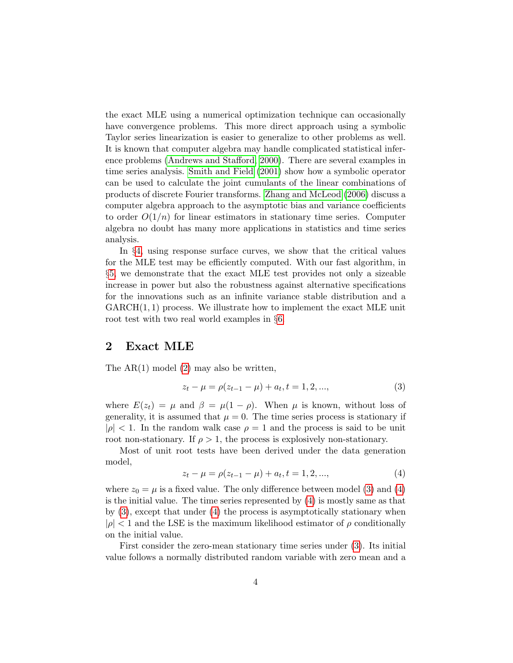the exact MLE using a numerical optimization technique can occasionally have convergence problems. This more direct approach using a symbolic Taylor series linearization is easier to generalize to other problems as well. It is known that computer algebra may handle complicated statistical inference problems [\(Andrews and Stafford, 2000\)](#page-21-4). There are several examples in time series analysis. [Smith and Field](#page-22-4) [\(2001\)](#page-22-4) show how a symbolic operator can be used to calculate the joint cumulants of the linear combinations of products of discrete Fourier transforms. [Zhang and McLeod](#page-22-5) [\(2006\)](#page-22-5) discuss a computer algebra approach to the asymptotic bias and variance coefficients to order  $O(1/n)$  for linear estimators in stationary time series. Computer algebra no doubt has many more applications in statistics and time series analysis.

In §[4,](#page-9-0) using response surface curves, we show that the critical values for the MLE test may be efficiently computed. With our fast algorithm, in §[5,](#page-10-0) we demonstrate that the exact MLE test provides not only a sizeable increase in power but also the robustness against alternative specifications for the innovations such as an infinite variance stable distribution and a  $GARCH(1, 1)$  process. We illustrate how to implement the exact MLE unit root test with two real world examples in §[6.](#page-12-0)

#### <span id="page-3-2"></span>2 Exact MLE

The  $AR(1)$  model  $(2)$  may also be written,

<span id="page-3-0"></span>
$$
z_t - \mu = \rho(z_{t-1} - \mu) + a_t, t = 1, 2, ..., \tag{3}
$$

where  $E(z_t) = \mu$  and  $\beta = \mu(1 - \rho)$ . When  $\mu$  is known, without loss of generality, it is assumed that  $\mu = 0$ . The time series process is stationary if  $|\rho|$  < 1. In the random walk case  $\rho = 1$  and the process is said to be unit root non-stationary. If  $\rho > 1$ , the process is explosively non-stationary.

Most of unit root tests have been derived under the data generation model,

<span id="page-3-1"></span>
$$
z_t - \mu = \rho(z_{t-1} - \mu) + a_t, t = 1, 2, ..., \tag{4}
$$

where  $z_0 = \mu$  is a fixed value. The only difference between model [\(3\)](#page-3-0) and [\(4\)](#page-3-1) is the initial value. The time series represented by [\(4\)](#page-3-1) is mostly same as that by  $(3)$ , except that under  $(4)$  the process is asymptotically stationary when  $|\rho|$  < 1 and the LSE is the maximum likelihood estimator of  $\rho$  conditionally on the initial value.

First consider the zero-mean stationary time series under [\(3\)](#page-3-0). Its initial value follows a normally distributed random variable with zero mean and a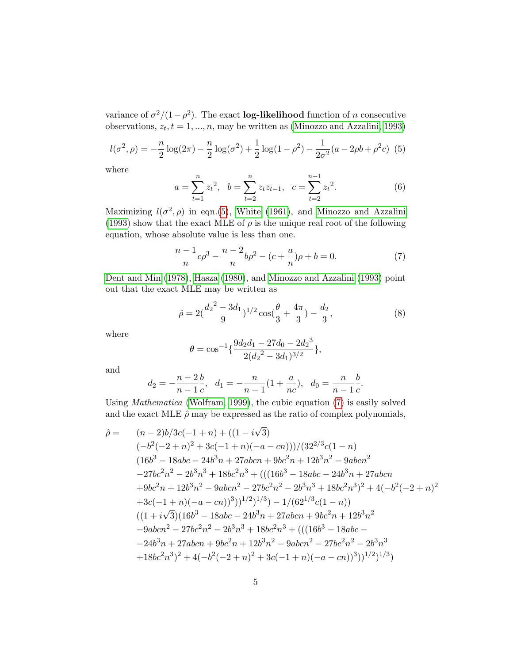variance of  $\sigma^2/(1-\rho^2)$ . The exact **log-likelihood** function of *n* consecutive observations,  $z_t, t = 1, ..., n$ , may be written as [\(Minozzo and Azzalini, 1993\)](#page-22-6)

<span id="page-4-0"></span>
$$
l(\sigma^2, \rho) = -\frac{n}{2}\log(2\pi) - \frac{n}{2}\log(\sigma^2) + \frac{1}{2}\log(1-\rho^2) - \frac{1}{2\sigma^2}(a - 2\rho b + \rho^2 c)
$$
 (5)

where

<span id="page-4-2"></span>
$$
a = \sum_{t=1}^{n} z_t^2, \quad b = \sum_{t=2}^{n} z_t z_{t-1}, \quad c = \sum_{t=2}^{n-1} z_t^2.
$$
 (6)

Maximizing  $l(\sigma^2, \rho)$  in eqn.[\(5\)](#page-4-0), [White](#page-22-7) [\(1961\)](#page-22-7), and [Minozzo and Azzalini](#page-22-6) [\(1993\)](#page-22-6) show that the exact MLE of  $\rho$  is the unique real root of the following equation, whose absolute value is less than one.

<span id="page-4-1"></span>
$$
\frac{n-1}{n}c\rho^3 - \frac{n-2}{n}b\rho^2 - (c + \frac{a}{n})\rho + b = 0.
$$
 (7)

[Dent and Min](#page-21-5) [\(1978\)](#page-21-5), [Hasza](#page-21-6) [\(1980\)](#page-21-6), and [Minozzo and Azzalini](#page-22-6) [\(1993\)](#page-22-6) point out that the exact MLE may be written as

$$
\hat{\rho} = 2\left(\frac{d_2^2 - 3d_1}{9}\right)^{1/2} \cos\left(\frac{\theta}{3} + \frac{4\pi}{3}\right) - \frac{d_2}{3},\tag{8}
$$

where

$$
\theta = \cos^{-1}\left\{\frac{9d_2d_1 - 27d_0 - 2d_2^3}{2(d_2^2 - 3d_1)^{3/2}}\right\},\,
$$

and

$$
d_2 = -\frac{n-2}{n-1}\frac{b}{c}
$$
,  $d_1 = -\frac{n}{n-1}(1+\frac{a}{nc})$ ,  $d_0 = \frac{n}{n-1}\frac{b}{c}$ .

Using Mathematica [\(Wolfram, 1999\)](#page-22-8), the cubic equation [\(7\)](#page-4-1) is easily solved and the exact MLE  $\hat{\rho}$  may be expressed as the ratio of complex polynomials,

$$
\hat{\rho} = (n-2)b/3c(-1+n) + ((1-i\sqrt{3})\n(-b^2(-2+n)^2 + 3c(-1+n)(-a - cn)))/(32^{2/3}c(1 - n)\n(16b^3 - 18abc - 24b^3n + 27abcn + 9bc^2n + 12b^3n^2 - 9abcn^2\n-27bc^2n^2 - 2b^3n^3 + 18bc^2n^3 + (((16b^3 - 18abc - 24b^3n + 27abcn\n+9bc^2n + 12b^3n^2 - 9abcn^2 - 27bc^2n^2 - 2b^3n^3 + 18bc^2n^3)^2 + 4(-b^2(-2+n)^2\n+3c(-1+n)(-a - cn))^3))^{1/2})^{1/3} - 1/(62^{1/3}c(1 - n))\n((1+i\sqrt{3})(16b^3 - 18abc - 24b^3n + 27abcn + 9bc^2n + 12b^3n^2\n-9abcn^2 - 27bc^2n^2 - 2b^3n^3 + 18bc^2n^3 + (((16b^3 - 18abc -\n-24b^3n + 27abcn + 9bc^2n + 12b^3n^2 - 9abcn^2 - 27bc^2n^2 - 2b^3n^3\n+18bc^2n^3)^2 + 4(-b^2(-2+n)^2 + 3c(-1+n)(-a - cn))^3))^{1/2})^{1/3})
$$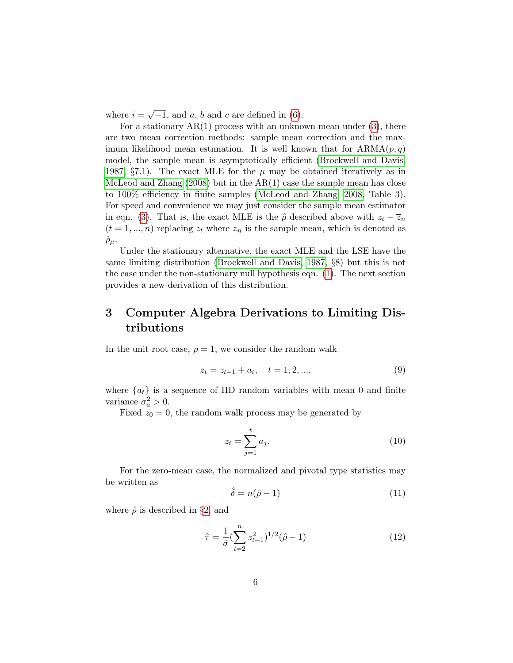where  $i =$ √  $-1$ , and a, b and c are defined in [\(6\)](#page-4-2).

For a stationary  $AR(1)$  process with an unknown mean under  $(3)$ , there are two mean correction methods: sample mean correction and the maximum likelihood mean estimation. It is well known that for  $ARMA(p, q)$ model, the sample mean is asymptotically efficient [\(Brockwell and Davis,](#page-21-7) [1987,](#page-21-7) §7.1). The exact MLE for the  $\mu$  may be obtained iteratively as in [McLeod and Zhang](#page-21-8)  $(2008)$  but in the AR $(1)$  case the sample mean has close to 100% efficiency in finite samples [\(McLeod and Zhang, 2008,](#page-21-8) Table 3). For speed and convenience we may just consider the sample mean estimator in eqn. [\(3\)](#page-3-0). That is, the exact MLE is the  $\hat{\rho}$  described above with  $z_t - \overline{z}_n$  $(t = 1, ..., n)$  replacing  $z_t$  where  $\overline{z}_n$  is the sample mean, which is denoted as  $\hat{\rho}_{\mu}$ .

Under the stationary alternative, the exact MLE and the LSE have the same limiting distribution [\(Brockwell and Davis, 1987,](#page-21-7) §8) but this is not the case under the non-stationary null hypothesis eqn. [\(1\)](#page-2-0). The next section provides a new derivation of this distribution.

# <span id="page-5-0"></span>3 Computer Algebra Derivations to Limiting Distributions

In the unit root case,  $\rho = 1$ , we consider the random walk

<span id="page-5-3"></span>
$$
z_t = z_{t-1} + a_t, \quad t = 1, 2, ..., \tag{9}
$$

where  ${a_t}$  is a sequence of IID random variables with mean 0 and finite variance  $\sigma_a^2 > 0$ .

Fixed  $z_0 = 0$ , the random walk process may be generated by

$$
z_t = \sum_{j=1}^t a_j.
$$
\n<sup>(10)</sup>

For the zero-mean case, the normalized and pivotal type statistics may be written as

<span id="page-5-1"></span>
$$
\hat{\delta} = n(\hat{\rho} - 1) \tag{11}
$$

where  $\hat{\rho}$  is described in §[2,](#page-3-2) and

<span id="page-5-2"></span>
$$
\hat{\tau} = \frac{1}{\hat{\sigma}} \left( \sum_{t=2}^{n} z_{t-1}^2 \right)^{1/2} (\hat{\rho} - 1)
$$
\n(12)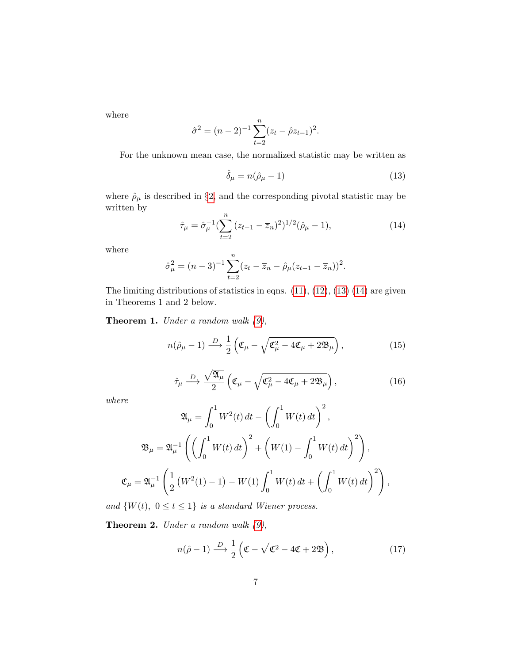where

$$
\hat{\sigma}^2 = (n-2)^{-1} \sum_{t=2}^n (z_t - \hat{\rho} z_{t-1})^2.
$$

For the unknown mean case, the normalized statistic may be written as

<span id="page-6-0"></span>
$$
\hat{\delta}_{\mu} = n(\hat{\rho}_{\mu} - 1) \tag{13}
$$

where  $\hat{\rho}_{\mu}$  is described in §[2,](#page-3-2) and the corresponding pivotal statistic may be written by

<span id="page-6-1"></span>
$$
\hat{\tau}_{\mu} = \hat{\sigma}_{\mu}^{-1} \left( \sum_{t=2}^{n} (z_{t-1} - \overline{z}_n)^2 \right)^{1/2} (\hat{\rho}_{\mu} - 1), \tag{14}
$$

where

$$
\hat{\sigma}_{\mu}^{2} = (n-3)^{-1} \sum_{t=2}^{n} (z_{t} - \overline{z}_{n} - \hat{\rho}_{\mu} (z_{t-1} - \overline{z}_{n}))^{2}.
$$

The limiting distributions of statistics in eqns.  $(11)$ ,  $(12)$ ,  $(13)$   $(14)$  are given in Theorems 1 and 2 below.

<span id="page-6-3"></span>**Theorem 1.** Under a random walk  $(9)$ ,

<span id="page-6-2"></span>
$$
n(\hat{\rho}_{\mu} - 1) \stackrel{D}{\longrightarrow} \frac{1}{2} \left( \mathfrak{C}_{\mu} - \sqrt{\mathfrak{C}_{\mu}^2 - 4\mathfrak{C}_{\mu} + 2\mathfrak{B}_{\mu}} \right), \tag{15}
$$

<span id="page-6-4"></span>
$$
\hat{\tau}_{\mu} \stackrel{D}{\longrightarrow} \frac{\sqrt{\mathfrak{A}_{\mu}}}{2} \left( \mathfrak{C}_{\mu} - \sqrt{\mathfrak{C}_{\mu}^{2} - 4\mathfrak{C}_{\mu} + 2\mathfrak{B}_{\mu}} \right), \qquad (16)
$$

where

$$
\mathfrak{A}_{\mu} = \int_{0}^{1} W^{2}(t) dt - \left(\int_{0}^{1} W(t) dt\right)^{2},
$$
  

$$
\mathfrak{B}_{\mu} = \mathfrak{A}_{\mu}^{-1} \left( \left(\int_{0}^{1} W(t) dt\right)^{2} + \left(W(1) - \int_{0}^{1} W(t) dt\right)^{2} \right),
$$
  

$$
\mathfrak{C}_{\mu} = \mathfrak{A}_{\mu}^{-1} \left( \frac{1}{2} \left(W^{2}(1) - 1\right) - W(1) \int_{0}^{1} W(t) dt + \left(\int_{0}^{1} W(t) dt\right)^{2} \right),
$$

and  $\{W(t), 0 \le t \le 1\}$  is a standard Wiener process.

**Theorem 2.** Under a random walk  $(9)$ ,

<span id="page-6-5"></span>
$$
n(\hat{\rho} - 1) \xrightarrow{D} \frac{1}{2} \left( \mathfrak{C} - \sqrt{\mathfrak{C}^2 - 4\mathfrak{C} + 2\mathfrak{B}} \right), \tag{17}
$$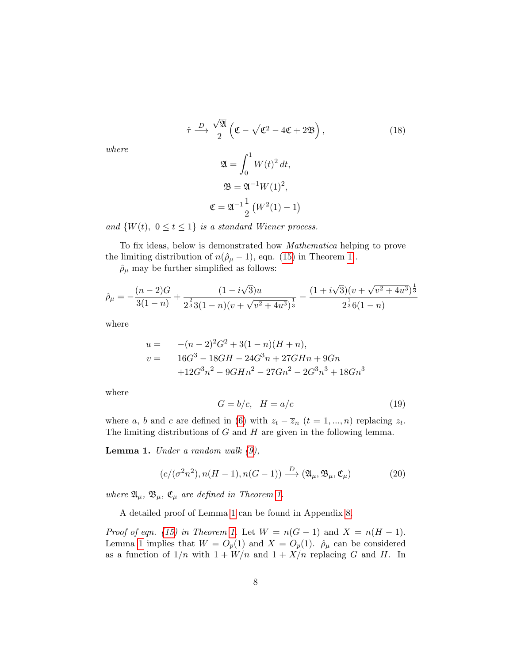<span id="page-7-1"></span>
$$
\hat{\tau} \stackrel{D}{\longrightarrow} \frac{\sqrt{2l}}{2} \left( \mathfrak{C} - \sqrt{\mathfrak{C}^2 - 4\mathfrak{C} + 2\mathfrak{B}} \right),
$$
\n
$$
\mathfrak{A} = \int_0^1 W(t)^2 dt,
$$
\n
$$
\mathfrak{B} = \mathfrak{A}^{-1} W(1)^2,
$$
\n
$$
\mathfrak{C} = \mathfrak{A}^{-1} \frac{1}{2} \left( W^2(1) - 1 \right)
$$
\n(18)

where

and 
$$
\{W(t), 0 \le t \le 1\}
$$
 is a standard Wiener process.

To fix ideas, below is demonstrated how Mathematica helping to prove the limiting distribution of  $n(\hat{\rho}_{\mu} - 1)$  $n(\hat{\rho}_{\mu} - 1)$  $n(\hat{\rho}_{\mu} - 1)$ , eqn. [\(15\)](#page-6-2) in Theorem 1.

 $\rho_{\mu}$  may be further simplified as follows:

$$
\hat{\rho}_{\mu} = -\frac{(n-2)G}{3(1-n)} + \frac{(1-i\sqrt{3})u}{2^{\frac{2}{3}}3(1-n)(v+\sqrt{v^2+4u^3})^{\frac{1}{3}}} - \frac{(1+i\sqrt{3})(v+\sqrt{v^2+4u^3})^{\frac{1}{3}}}{2^{\frac{1}{3}}6(1-n)}
$$

where

$$
u = -(n-2)^2 G^2 + 3(1-n)(H+n),
$$
  
\n
$$
v = 16G^3 - 18GH - 24G^3n + 27GHn + 9Gn
$$
  
\n
$$
+12G^3n^2 - 9GHn^2 - 27Gn^2 - 2G^3n^3 + 18Gn^3
$$

where

<span id="page-7-2"></span>
$$
G = b/c, \quad H = a/c \tag{19}
$$

where a, b and c are defined in [\(6\)](#page-4-2) with  $z_t - \overline{z}_n$  ( $t = 1, ..., n$ ) replacing  $z_t$ . The limiting distributions of  $G$  and  $H$  are given in the following lemma.

<span id="page-7-0"></span>**Lemma 1.** Under a random walk  $(9)$ ,

$$
(c/(\sigma^2 n^2), n(H-1), n(G-1)) \xrightarrow{D} (\mathfrak{A}_{\mu}, \mathfrak{B}_{\mu}, \mathfrak{C}_{\mu})
$$
 (20)

where  $\mathfrak{A}_{\mu}$ ,  $\mathfrak{B}_{\mu}$ ,  $\mathfrak{C}_{\mu}$  are defined in Theorem [1.](#page-6-3)

A detailed proof of Lemma [1](#page-7-0) can be found in Appendix [8.](#page-14-0)

Proof of eqn. [\(15\)](#page-6-2) in Theorem [1.](#page-6-3) Let  $W = n(G-1)$  and  $X = n(H-1)$ . Lemma [1](#page-7-0) implies that  $W = O_p(1)$  and  $X = O_p(1)$ .  $\rho_\mu$  can be considered as a function of  $1/n$  with  $1 + W/n$  and  $1 + X/n$  replacing G and H. In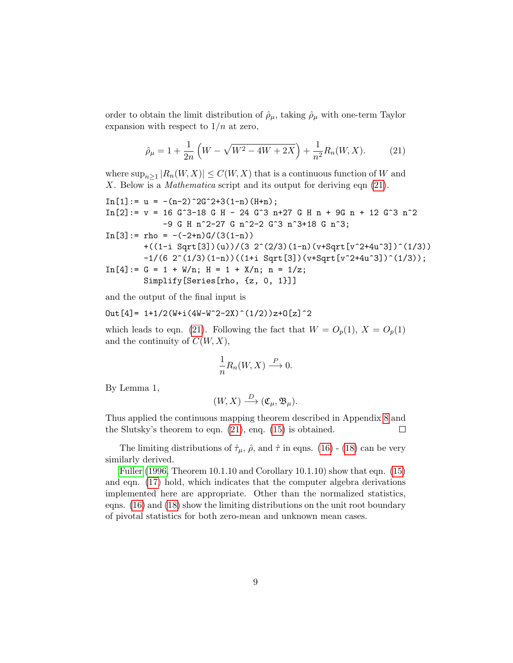order to obtain the limit distribution of  $\rho_{\mu}$ , taking  $\rho_{\mu}$  with one-term Taylor expansion with respect to  $1/n$  at zero,

<span id="page-8-0"></span>
$$
\hat{\rho}_{\mu} = 1 + \frac{1}{2n} \left( W - \sqrt{W^2 - 4W + 2X} \right) + \frac{1}{n^2} R_n(W, X). \tag{21}
$$

where  $\sup_{n\geq 1} |R_n(W, X)| \leq C(W, X)$  that is a continuous function of W and X. Below is a *Mathematica* script and its output for deriving eqn  $(21)$ .

In[1]:= u = -(n-2)^2G^2+3(1-n)(H+n); In[2]:= v = 16 G^3-18 G H - 24 G^3 n+27 G H n + 9G n + 12 G^3 n^2 -9 G H n^2-27 G n^2-2 G^3 n^3+18 G n^3; In[3]:= rho = -(-2+n)G/(3(1-n)) +((1-i Sqrt[3])(u))/(3 2^(2/3)(1-n)(v+Sqrt[v^2+4u^3])^(1/3)) -1/(6 2^(1/3)(1-n))((1+i Sqrt[3])(v+Sqrt[v^2+4u^3])^(1/3)); In[4]:= G = 1 + W/n; H = 1 + X/n; n = 1/z; Simplify[Series[rho, {z, 0, 1}]]

and the output of the final input is

$$
Out[4] = 1+1/2(W+i(4W-W^2-2X)^(1/2))z+0[z]^2
$$

which leads to eqn. [\(21\)](#page-8-0). Following the fact that  $W = O_p(1)$ ,  $X = O_p(1)$ and the continuity of  $C(W, X)$ ,

$$
\frac{1}{n}R_n(W, X) \stackrel{P}{\longrightarrow} 0.
$$

By Lemma 1,

$$
(W, X) \xrightarrow{D} (\mathfrak{C}_{\mu}, \mathfrak{B}_{\mu}).
$$

Thus applied the continuous mapping theorem described in Appendix [8](#page-14-0) and the Slutsky's theorem to eqn. [\(21\)](#page-8-0), enq. [\(15\)](#page-6-2) is obtained.  $\Box$ 

The limiting distributions of  $\hat{\tau}_{\mu}$ ,  $\hat{\rho}$ , and  $\hat{\tau}$  in eqns. [\(16\)](#page-6-4) - [\(18\)](#page-7-1) can be very similarly derived.

[Fuller](#page-21-0) [\(1996,](#page-21-0) Theorem 10.1.10 and Corollary 10.1.10) show that eqn. [\(15\)](#page-6-2) and eqn. [\(17\)](#page-6-5) hold, which indicates that the computer algebra derivations implemented here are appropriate. Other than the normalized statistics, eqns. [\(16\)](#page-6-4) and [\(18\)](#page-7-1) show the limiting distributions on the unit root boundary of pivotal statistics for both zero-mean and unknown mean cases.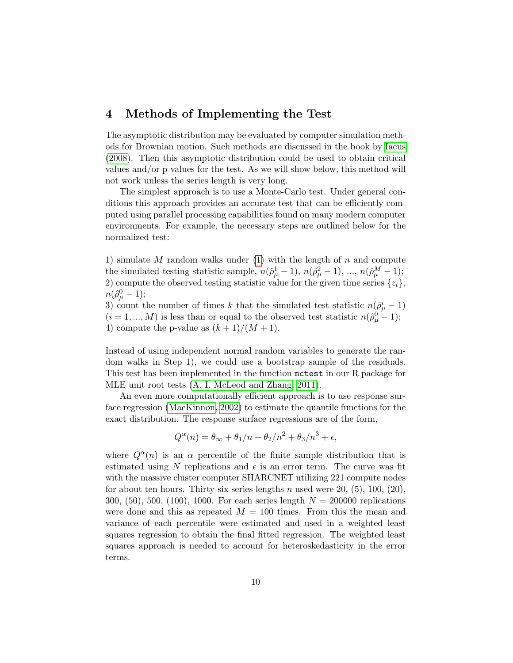### <span id="page-9-0"></span>4 Methods of Implementing the Test

The asymptotic distribution may be evaluated by computer simulation methods for Brownian motion. Such methods are discussed in the book by [Iacus](#page-21-9) [\(2008\)](#page-21-9). Then this asymptotic distribution could be used to obtain critical values and/or p-values for the test. As we will show below, this method will not work unless the series length is very long.

The simplest approach is to use a Monte-Carlo test. Under general conditions this approach provides an accurate test that can be efficiently computed using parallel processing capabilities found on many modern computer environments. For example, the necessary steps are outlined below for the normalized test:

1) simulate  $M$  random walks under [\(1\)](#page-2-0) with the length of  $n$  and compute the simulated testing statistic sample,  $n(\hat{\rho}_{\mu}^1 - 1), n(\hat{\rho}_{\mu}^2 - 1), ..., n(\hat{\rho}_{\mu}^M - 1);$ 2) compute the observed testing statistic value for the given time series  $\{z_t\}$ ,  $n(\hat{\rho}_{\mu}^{0}-1);$ 

3) count the number of times k that the simulated test statistic  $n(\hat{\rho}^i_{\mu} - 1)$  $(i = 1, ..., M)$  is less than or equal to the observed test statistic  $n(\hat{\rho}_{\mu}^{0} - 1);$ 4) compute the p-value as  $(k+1)/(M+1)$ .

Instead of using independent normal random variables to generate the random walks in Step 1), we could use a bootstrap sample of the residuals. This test has been implemented in the function mctest in our R package for MLE unit root tests [\(A. I. McLeod and Zhang, 2011\)](#page-21-10).

An even more computationally efficient approach is to use response surface regression [\(MacKinnon, 2002\)](#page-21-11) to estimate the quantile functions for the exact distribution. The response surface regressions are of the form,

$$
Q^{\alpha}(n) = \theta_{\infty} + \theta_1/n + \theta_2/n^2 + \theta_3/n^3 + \epsilon,
$$

where  $Q^{\alpha}(n)$  is an  $\alpha$  percentile of the finite sample distribution that is estimated using N replications and  $\epsilon$  is an error term. The curve was fit with the massive cluster computer SHARCNET utilizing 221 compute nodes for about ten hours. Thirty-six series lengths n used were  $20, (5), 100, (20),$ 300,  $(50)$ ,  $500$ ,  $(100)$ ,  $1000$ . For each series length  $N = 200000$  replications were done and this as repeated  $M = 100$  times. From this the mean and variance of each percentile were estimated and used in a weighted least squares regression to obtain the final fitted regression. The weighted least squares approach is needed to account for heteroskedasticity in the error terms.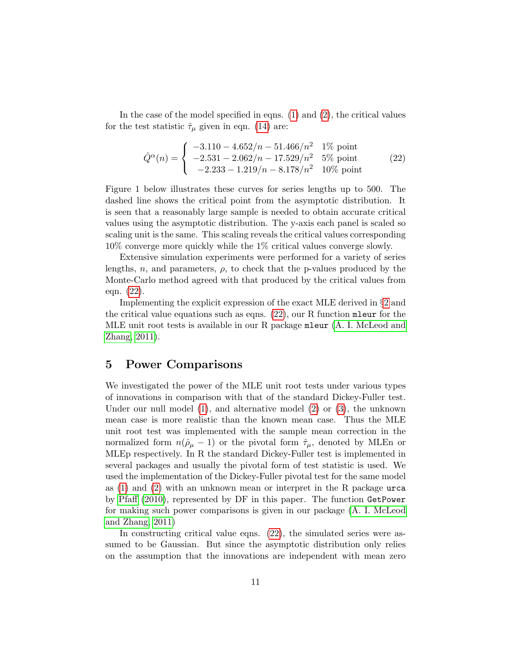In the case of the model specified in eqns.  $(1)$  and  $(2)$ , the critical values for the test statistic  $\hat{\tau}_{\mu}$  given in eqn. [\(14\)](#page-6-1) are:

<span id="page-10-1"></span>
$$
\hat{Q}^{\alpha}(n) = \begin{cases}\n-3.110 - 4.652/n - 51.466/n^2 & 1\% \text{ point} \\
-2.531 - 2.062/n - 17.529/n^2 & 5\% \text{ point} \\
-2.233 - 1.219/n - 8.178/n^2 & 10\% \text{ point}\n\end{cases}
$$
\n(22)

Figure 1 below illustrates these curves for series lengths up to 500. The dashed line shows the critical point from the asymptotic distribution. It is seen that a reasonably large sample is needed to obtain accurate critical values using the asymptotic distribution. The y-axis each panel is scaled so scaling unit is the same. This scaling reveals the critical values corresponding 10% converge more quickly while the 1% critical values converge slowly.

Extensive simulation experiments were performed for a variety of series lengths, n, and parameters,  $\rho$ , to check that the p-values produced by the Monte-Carlo method agreed with that produced by the critical values from eqn. [\(22\)](#page-10-1).

Implementing the explicit expression of the exact MLE derived in §[2](#page-3-2) and the critical value equations such as eqns. [\(22\)](#page-10-1), our R function mleur for the MLE unit root tests is available in our R package mleur [\(A. I. McLeod and](#page-21-10) [Zhang, 2011\)](#page-21-10).

#### <span id="page-10-0"></span>5 Power Comparisons

We investigated the power of the MLE unit root tests under various types of innovations in comparison with that of the standard Dickey-Fuller test. Under our null model  $(1)$ , and alternative model  $(2)$  or  $(3)$ , the unknown mean case is more realistic than the known mean case. Thus the MLE unit root test was implemented with the sample mean correction in the normalized form  $n(\hat{\rho}_{\mu} - 1)$  or the pivotal form  $\hat{\tau}_{\mu}$ , denoted by MLEn or MLEp respectively. In R the standard Dickey-Fuller test is implemented in several packages and usually the pivotal form of test statistic is used. We used the implementation of the Dickey-Fuller pivotal test for the same model as [\(1\)](#page-2-0) and [\(2\)](#page-2-1) with an unknown mean or interpret in the R package urca by [Pfaff](#page-22-9) [\(2010\)](#page-22-9), represented by DF in this paper. The function GetPower for making such power comparisons is given in our package [\(A. I. McLeod](#page-21-10) [and Zhang, 2011\)](#page-21-10)

In constructing critical value eqns. [\(22\)](#page-10-1), the simulated series were assumed to be Gaussian. But since the asymptotic distribution only relies on the assumption that the innovations are independent with mean zero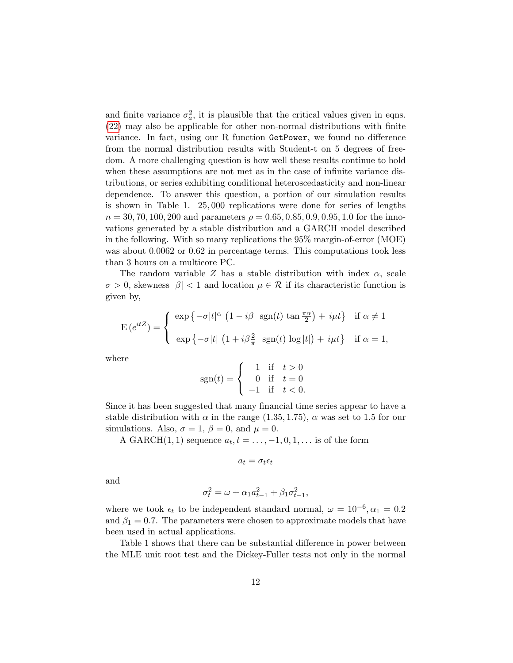and finite variance  $\sigma_a^2$ , it is plausible that the critical values given in eqns. [\(22\)](#page-10-1) may also be applicable for other non-normal distributions with finite variance. In fact, using our R function GetPower, we found no difference from the normal distribution results with Student-t on 5 degrees of freedom. A more challenging question is how well these results continue to hold when these assumptions are not met as in the case of infinite variance distributions, or series exhibiting conditional heteroscedasticity and non-linear dependence. To answer this question, a portion of our simulation results is shown in Table 1. 25, 000 replications were done for series of lengths  $n = 30, 70, 100, 200$  and parameters  $\rho = 0.65, 0.85, 0.9, 0.95, 1.0$  for the innovations generated by a stable distribution and a GARCH model described in the following. With so many replications the 95% margin-of-error (MOE) was about  $0.0062$  or  $0.62$  in percentage terms. This computations took less than 3 hours on a multicore PC.

The random variable Z has a stable distribution with index  $\alpha$ , scale  $\sigma > 0$ , skewness  $|\beta| < 1$  and location  $\mu \in \mathcal{R}$  if its characteristic function is given by,

$$
E(e^{itZ}) = \begin{cases} \exp\{-\sigma|t|^{\alpha} (1 - i\beta \operatorname{sgn}(t) \tan \frac{\pi \alpha}{2}) + i\mu t\} & \text{if } \alpha \neq 1 \\ \exp\{-\sigma|t| (1 + i\beta \frac{2}{\pi} \operatorname{sgn}(t) \log |t|) + i\mu t\} & \text{if } \alpha = 1, \end{cases}
$$

where

$$
sgn(t) = \begin{cases} 1 & \text{if } t > 0 \\ 0 & \text{if } t = 0 \\ -1 & \text{if } t < 0. \end{cases}
$$

Since it has been suggested that many financial time series appear to have a stable distribution with  $\alpha$  in the range (1.35, 1.75),  $\alpha$  was set to 1.5 for our simulations. Also,  $\sigma = 1$ ,  $\beta = 0$ , and  $\mu = 0$ .

A GARCH $(1, 1)$  sequence  $a_t, t = \ldots, -1, 0, 1, \ldots$  is of the form

$$
a_t = \sigma_t \epsilon_t
$$

and

$$
\sigma_t^2 = \omega + \alpha_1 a_{t-1}^2 + \beta_1 \sigma_{t-1}^2,
$$

where we took  $\epsilon_t$  to be independent standard normal,  $\omega = 10^{-6}, \alpha_1 = 0.2$ and  $\beta_1 = 0.7$ . The parameters were chosen to approximate models that have been used in actual applications.

Table 1 shows that there can be substantial difference in power between the MLE unit root test and the Dickey-Fuller tests not only in the normal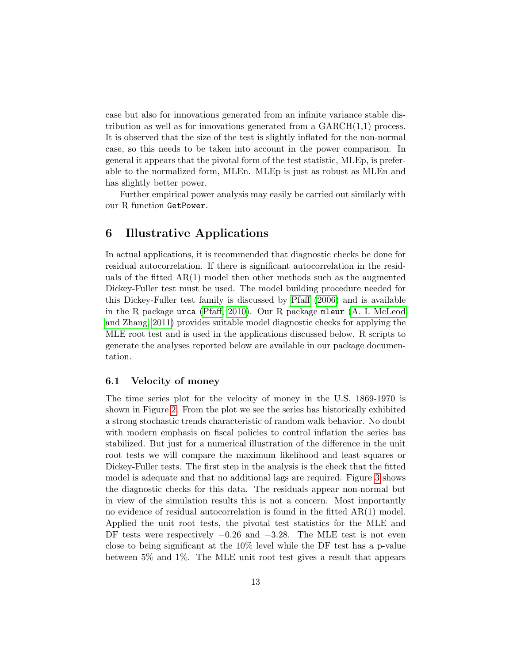case but also for innovations generated from an infinite variance stable distribution as well as for innovations generated from a  $GARCH(1,1)$  process. It is observed that the size of the test is slightly inflated for the non-normal case, so this needs to be taken into account in the power comparison. In general it appears that the pivotal form of the test statistic, MLEp, is preferable to the normalized form, MLEn. MLEp is just as robust as MLEn and has slightly better power.

Further empirical power analysis may easily be carried out similarly with our R function GetPower.

### <span id="page-12-0"></span>6 Illustrative Applications

In actual applications, it is recommended that diagnostic checks be done for residual autocorrelation. If there is significant autocorrelation in the residuals of the fitted  $AR(1)$  model then other methods such as the augmented Dickey-Fuller test must be used. The model building procedure needed for this Dickey-Fuller test family is discussed by [Pfaff](#page-22-0) [\(2006\)](#page-22-0) and is available in the R package urca [\(Pfaff, 2010\)](#page-22-9). Our R package mleur [\(A. I. McLeod](#page-21-10) [and Zhang, 2011\)](#page-21-10) provides suitable model diagnostic checks for applying the MLE root test and is used in the applications discussed below. R scripts to generate the analyses reported below are available in our package documentation.

#### 6.1 Velocity of money

The time series plot for the velocity of money in the U.S. 1869-1970 is shown in Figure [2.](#page-18-0) From the plot we see the series has historically exhibited a strong stochastic trends characteristic of random walk behavior. No doubt with modern emphasis on fiscal policies to control inflation the series has stabilized. But just for a numerical illustration of the difference in the unit root tests we will compare the maximum likelihood and least squares or Dickey-Fuller tests. The first step in the analysis is the check that the fitted model is adequate and that no additional lags are required. Figure [3](#page-19-0) shows the diagnostic checks for this data. The residuals appear non-normal but in view of the simulation results this is not a concern. Most importantly no evidence of residual autocorrelation is found in the fitted AR(1) model. Applied the unit root tests, the pivotal test statistics for the MLE and DF tests were respectively  $-0.26$  and  $-3.28$ . The MLE test is not even close to being significant at the 10% level while the DF test has a p-value between 5% and 1%. The MLE unit root test gives a result that appears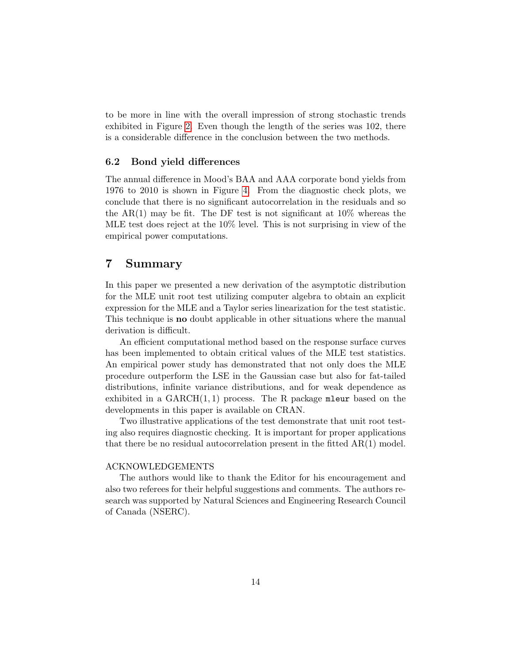to be more in line with the overall impression of strong stochastic trends exhibited in Figure [2.](#page-18-0) Even though the length of the series was 102, there is a considerable difference in the conclusion between the two methods.

#### 6.2 Bond yield differences

The annual difference in Mood's BAA and AAA corporate bond yields from 1976 to 2010 is shown in Figure [4.](#page-20-0) From the diagnostic check plots, we conclude that there is no significant autocorrelation in the residuals and so the AR(1) may be fit. The DF test is not significant at  $10\%$  whereas the MLE test does reject at the 10% level. This is not surprising in view of the empirical power computations.

### 7 Summary

In this paper we presented a new derivation of the asymptotic distribution for the MLE unit root test utilizing computer algebra to obtain an explicit expression for the MLE and a Taylor series linearization for the test statistic. This technique is no doubt applicable in other situations where the manual derivation is difficult.

An efficient computational method based on the response surface curves has been implemented to obtain critical values of the MLE test statistics. An empirical power study has demonstrated that not only does the MLE procedure outperform the LSE in the Gaussian case but also for fat-tailed distributions, infinite variance distributions, and for weak dependence as exhibited in a  $GARCH(1, 1)$  process. The R package mleur based on the developments in this paper is available on CRAN.

Two illustrative applications of the test demonstrate that unit root testing also requires diagnostic checking. It is important for proper applications that there be no residual autocorrelation present in the fitted  $AR(1)$  model.

#### ACKNOWLEDGEMENTS

The authors would like to thank the Editor for his encouragement and also two referees for their helpful suggestions and comments. The authors research was supported by Natural Sciences and Engineering Research Council of Canada (NSERC).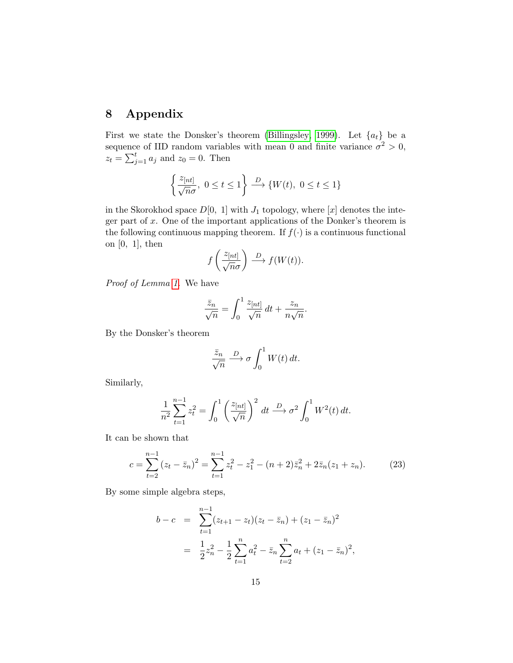## <span id="page-14-0"></span>8 Appendix

First we state the Donsker's theorem [\(Billingsley, 1999\)](#page-21-12). Let  $\{a_t\}$  be a sequence of IID random variables with mean 0 and finite variance  $\sigma^2 > 0$ ,  $z_t = \sum_{j=1}^t a_j$  and  $z_0 = 0$ . Then

$$
\left\{\frac{z_{[nt]}}{\sqrt{n}\sigma},\ 0\leq t\leq 1\right\}\stackrel{D}{\longrightarrow}\{W(t),\ 0\leq t\leq 1\}
$$

in the Skorokhod space  $D[0, 1]$  with  $J_1$  topology, where  $[x]$  denotes the integer part of  $x$ . One of the important applications of the Donker's theorem is the following continuous mapping theorem. If  $f(\cdot)$  is a continuous functional on  $[0, 1]$ , then

$$
f\left(\frac{z_{[nt]}}{\sqrt{n}\sigma}\right) \stackrel{D}{\longrightarrow} f(W(t)).
$$

Proof of Lemma [1.](#page-7-0) We have

$$
\frac{\bar{z}_n}{\sqrt{n}} = \int_0^1 \frac{z_{[nt]}}{\sqrt{n}} dt + \frac{z_n}{n\sqrt{n}}.
$$

By the Donsker's theorem

$$
\frac{\bar{z}_n}{\sqrt{n}} \stackrel{D}{\longrightarrow} \sigma \int_0^1 W(t) dt.
$$

Similarly,

$$
\frac{1}{n^2} \sum_{t=1}^{n-1} z_t^2 = \int_0^1 \left(\frac{z_{[nt]}}{\sqrt{n}}\right)^2 dt \xrightarrow{D} \sigma^2 \int_0^1 W^2(t) dt.
$$

It can be shown that

<span id="page-14-1"></span>
$$
c = \sum_{t=2}^{n-1} (z_t - \bar{z}_n)^2 = \sum_{t=1}^{n-1} z_t^2 - z_1^2 - (n+2)\bar{z}_n^2 + 2\bar{z}_n(z_1 + z_n).
$$
 (23)

By some simple algebra steps,

$$
b - c = \sum_{t=1}^{n-1} (z_{t+1} - z_t)(z_t - \bar{z}_n) + (z_1 - \bar{z}_n)^2
$$
  
= 
$$
\frac{1}{2}z_n^2 - \frac{1}{2}\sum_{t=1}^n a_t^2 - \bar{z}_n\sum_{t=2}^n a_t + (z_1 - \bar{z}_n)^2,
$$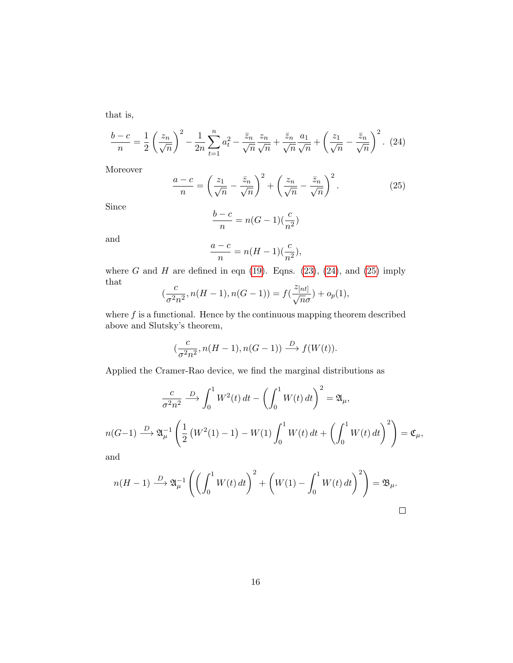that is,

<span id="page-15-0"></span>
$$
\frac{b-c}{n} = \frac{1}{2} \left(\frac{z_n}{\sqrt{n}}\right)^2 - \frac{1}{2n} \sum_{t=1}^n a_t^2 - \frac{\bar{z}_n}{\sqrt{n}} \frac{z_n}{\sqrt{n}} + \frac{\bar{z}_n}{\sqrt{n}} \frac{a_1}{\sqrt{n}} + \left(\frac{z_1}{\sqrt{n}} - \frac{\bar{z}_n}{\sqrt{n}}\right)^2.
$$
 (24)

Moreover

<span id="page-15-1"></span>
$$
\frac{a-c}{n} = \left(\frac{z_1}{\sqrt{n}} - \frac{\bar{z}_n}{\sqrt{n}}\right)^2 + \left(\frac{z_n}{\sqrt{n}} - \frac{\bar{z}_n}{\sqrt{n}}\right)^2.
$$
 (25)

Since

$$
\frac{b-c}{n} = n(G-1)\left(\frac{c}{n^2}\right)
$$

and

$$
\frac{a-c}{n}=n(H-1)(\frac{c}{n^2}),
$$

where  $G$  and  $H$  are defined in eqn [\(19\)](#page-7-2). Eqns. [\(23\)](#page-14-1), [\(24\)](#page-15-0), and [\(25\)](#page-15-1) imply that

$$
(\frac{c}{\sigma^2 n^2}, n(H-1), n(G-1)) = f(\frac{z_{[nt]}}{\sqrt{n}\sigma}) + o_p(1),
$$

where  $f$  is a functional. Hence by the continuous mapping theorem described above and Slutsky's theorem,

$$
(\frac{c}{\sigma^2 n^2}, n(H-1), n(G-1)) \xrightarrow{D} f(W(t)).
$$

Applied the Cramer-Rao device, we find the marginal distributions as

$$
\frac{c}{\sigma^2 n^2} \xrightarrow{D} \int_0^1 W^2(t) dt - \left(\int_0^1 W(t) dt\right)^2 = \mathfrak{A}_{\mu},
$$
  

$$
n(G-1) \xrightarrow{D} \mathfrak{A}_{\mu}^{-1} \left(\frac{1}{2} \left(W^2(1) - 1\right) - W(1) \int_0^1 W(t) dt + \left(\int_0^1 W(t) dt\right)^2\right) = \mathfrak{C}_{\mu},
$$

and

$$
n(H-1) \xrightarrow{D} \mathfrak{A}_{\mu}^{-1} \left( \left( \int_0^1 W(t) dt \right)^2 + \left( W(1) - \int_0^1 W(t) dt \right)^2 \right) = \mathfrak{B}_{\mu}.
$$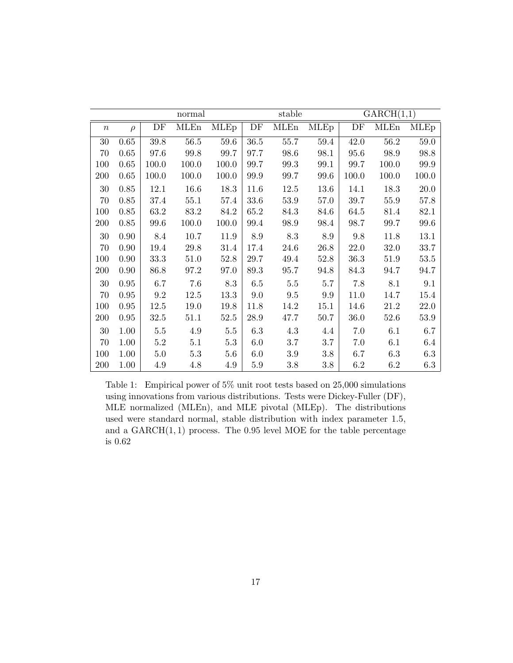| normal           |            |          |             | stable      |         |             | $\overline{\text{GARCH}}(1,1)$ |       |             |             |
|------------------|------------|----------|-------------|-------------|---------|-------------|--------------------------------|-------|-------------|-------------|
| $\boldsymbol{n}$ | $\rho$     | DF       | <b>MLEn</b> | <b>MLEp</b> | DF      | <b>MLEn</b> | <b>MLEp</b>                    | DF    | <b>MLEn</b> | <b>MLEp</b> |
| $30\,$           | $0.65\,$   | 39.8     | $56.5\,$    | 59.6        | 36.5    | 55.7        | 59.4                           | 42.0  | 56.2        | 59.0        |
| 70               | 0.65       | 97.6     | 99.8        | 99.7        | 97.7    | 98.6        | 98.1                           | 95.6  | 98.9        | 98.8        |
| 100              | 0.65       | 100.0    | 100.0       | 100.0       | 99.7    | 99.3        | 99.1                           | 99.7  | 100.0       | 99.9        |
| 200              | 0.65       | 100.0    | 100.0       | 100.0       | 99.9    | 99.7        | 99.6                           | 100.0 | 100.0       | 100.0       |
| $30\,$           | 0.85       | 12.1     | 16.6        | 18.3        | 11.6    | 12.5        | 13.6                           | 14.1  | 18.3        | 20.0        |
| 70               | 0.85       | 37.4     | 55.1        | 57.4        | 33.6    | 53.9        | 57.0                           | 39.7  | 55.9        | 57.8        |
| 100              | 0.85       | 63.2     | 83.2        | 84.2        | 65.2    | 84.3        | 84.6                           | 64.5  | 81.4        | 82.1        |
| 200              | $0.85\,$   | 99.6     | $100.0\,$   | 100.0       | 99.4    | 98.9        | 98.4                           | 98.7  | 99.7        | 99.6        |
| $30\,$           | 0.90       | 8.4      | 10.7        | 11.9        | 8.9     | 8.3         | 8.9                            | 9.8   | 11.8        | 13.1        |
| 70               | 0.90       | 19.4     | $29.8\,$    | 31.4        | 17.4    | 24.6        | 26.8                           | 22.0  | $32.0\,$    | 33.7        |
| 100              | 0.90       | 33.3     | 51.0        | 52.8        | 29.7    | 49.4        | 52.8                           | 36.3  | 51.9        | 53.5        |
| 200              | 0.90       | 86.8     | 97.2        | 97.0        | 89.3    | 95.7        | 94.8                           | 84.3  | 94.7        | 94.7        |
| 30               | $\rm 0.95$ | 6.7      | 7.6         | 8.3         | 6.5     | $5.5\,$     | 5.7                            | 7.8   | 8.1         | 9.1         |
| 70               | 0.95       | 9.2      | 12.5        | 13.3        | 9.0     | 9.5         | 9.9                            | 11.0  | 14.7        | 15.4        |
| 100              | 0.95       | 12.5     | 19.0        | 19.8        | 11.8    | 14.2        | 15.1                           | 14.6  | 21.2        | 22.0        |
| 200              | $0.95\,$   | $32.5\,$ | 51.1        | 52.5        | 28.9    | 47.7        | 50.7                           | 36.0  | 52.6        | 53.9        |
| 30               | 1.00       | $5.5\,$  | 4.9         | $5.5\,$     | 6.3     | 4.3         | 4.4                            | 7.0   | 6.1         | 6.7         |
| 70               | 1.00       | 5.2      | 5.1         | 5.3         | 6.0     | 3.7         | 3.7                            | 7.0   | 6.1         | 6.4         |
| 100              | 1.00       | 5.0      | $5.3\,$     | 5.6         | 6.0     | $3.9\,$     | 3.8                            | 6.7   | 6.3         | 6.3         |
| 200              | 1.00       | 4.9      | 4.8         | 4.9         | $5.9\,$ | 3.8         | 3.8                            | 6.2   | 6.2         | $6.3\,$     |

Table 1: Empirical power of 5% unit root tests based on 25,000 simulations using innovations from various distributions. Tests were Dickey-Fuller (DF), MLE normalized (MLEn), and MLE pivotal (MLEp). The distributions used were standard normal, stable distribution with index parameter 1.5, and a  $GARCH(1, 1)$  process. The 0.95 level MOE for the table percentage is 0.62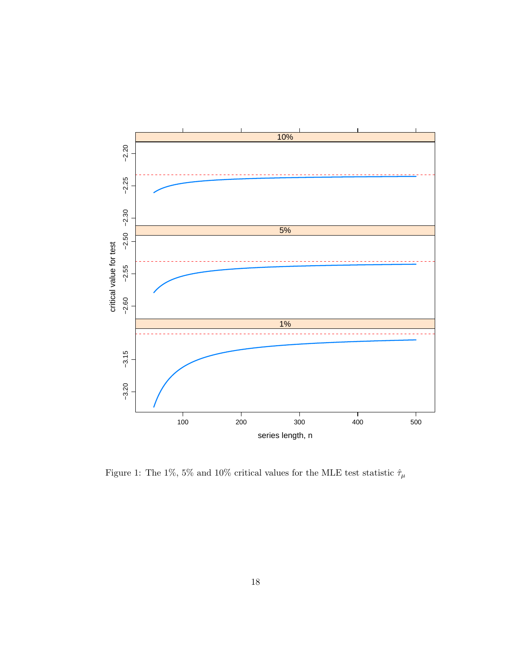

Figure 1: The 1%, 5% and 10% critical values for the MLE test statistic  $\hat{\tau}_\mu$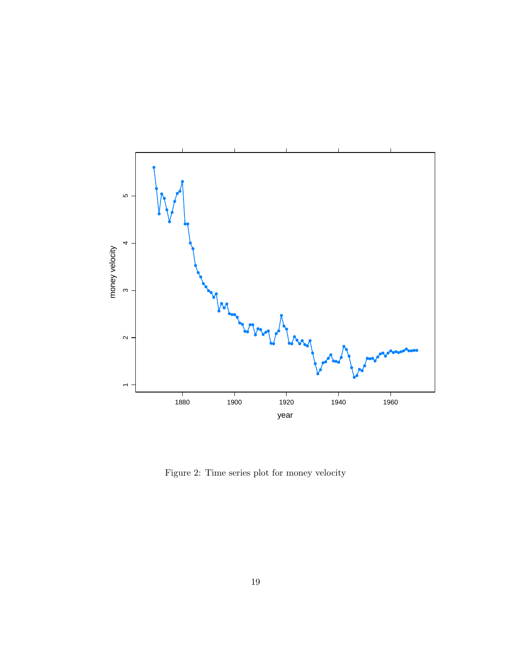

<span id="page-18-0"></span>Figure 2: Time series plot for money velocity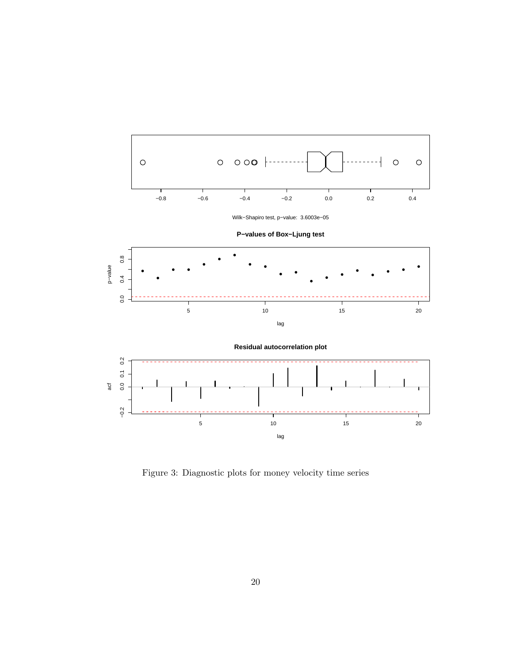

<span id="page-19-0"></span>Figure 3: Diagnostic plots for money velocity time series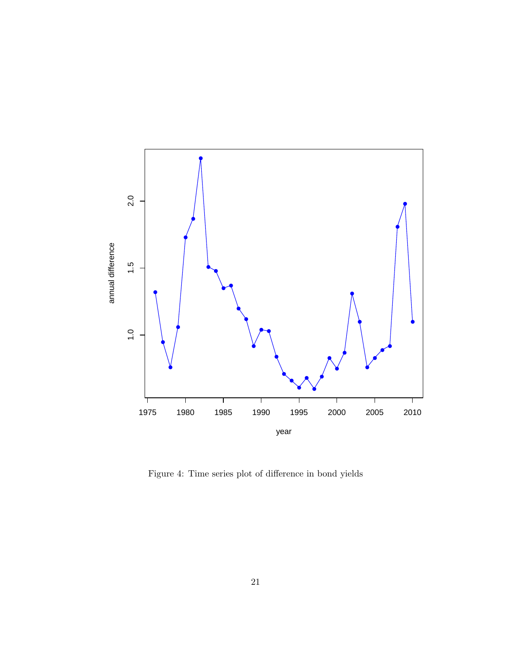

<span id="page-20-0"></span>Figure 4: Time series plot of difference in bond yields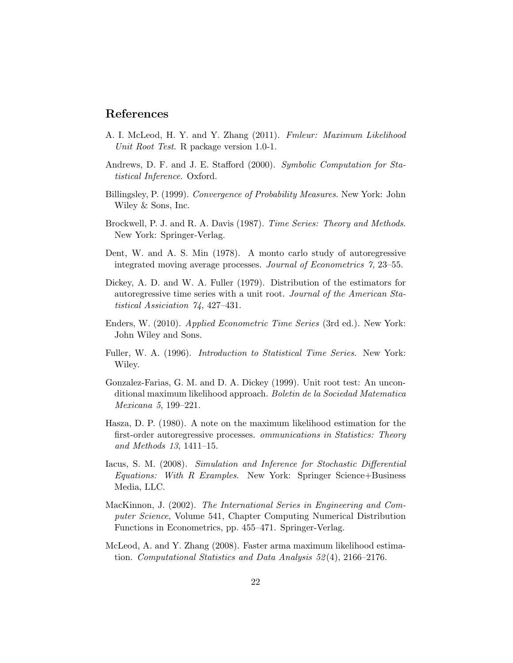### References

- <span id="page-21-10"></span>A. I. McLeod, H. Y. and Y. Zhang (2011). Fmleur: Maximum Likelihood Unit Root Test. R package version 1.0-1.
- <span id="page-21-4"></span>Andrews, D. F. and J. E. Stafford (2000). Symbolic Computation for Statistical Inference. Oxford.
- <span id="page-21-12"></span>Billingsley, P. (1999). Convergence of Probability Measures. New York: John Wiley & Sons, Inc.
- <span id="page-21-7"></span>Brockwell, P. J. and R. A. Davis (1987). Time Series: Theory and Methods. New York: Springer-Verlag.
- <span id="page-21-5"></span>Dent, W. and A. S. Min (1978). A monto carlo study of autoregressive integrated moving average processes. Journal of Econometrics 7, 23–55.
- <span id="page-21-2"></span>Dickey, A. D. and W. A. Fuller (1979). Distribution of the estimators for autoregressive time series with a unit root. Journal of the American Statistical Assiciation 74, 427–431.
- <span id="page-21-1"></span>Enders, W. (2010). Applied Econometric Time Series (3rd ed.). New York: John Wiley and Sons.
- <span id="page-21-0"></span>Fuller, W. A. (1996). Introduction to Statistical Time Series. New York: Wiley.
- <span id="page-21-3"></span>Gonzalez-Farias, G. M. and D. A. Dickey (1999). Unit root test: An unconditional maximum likelihood approach. Boletin de la Sociedad Matematica Mexicana 5, 199–221.
- <span id="page-21-6"></span>Hasza, D. P. (1980). A note on the maximum likelihood estimation for the first-order autoregressive processes. ommunications in Statistics: Theory and Methods 13, 1411–15.
- <span id="page-21-9"></span>Iacus, S. M. (2008). Simulation and Inference for Stochastic Differential Equations: With R Examples. New York: Springer Science+Business Media, LLC.
- <span id="page-21-11"></span>MacKinnon, J. (2002). The International Series in Engineering and Computer Science, Volume 541, Chapter Computing Numerical Distribution Functions in Econometrics, pp. 455–471. Springer-Verlag.
- <span id="page-21-8"></span>McLeod, A. and Y. Zhang (2008). Faster arma maximum likelihood estimation. Computational Statistics and Data Analysis 52 (4), 2166–2176.